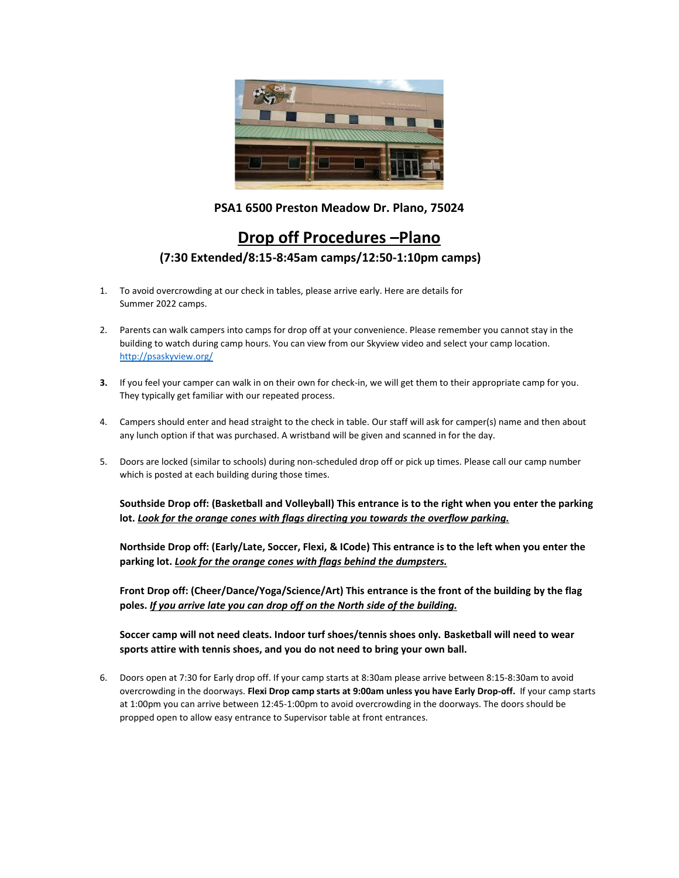

## **PSA1 6500 Preston Meadow Dr. Plano, 75024**

## **Drop off Procedures –Plano (7:30 Extended/8:15-8:45am camps/12:50-1:10pm camps)**

- 1. To avoid overcrowding at our check in tables, please arrive early. Here are details for Summer 2022 camps.
- 2. Parents can walk campers into camps for drop off at your convenience. Please remember you cannot stay in the building to watch during camp hours. You can view from our Skyview video and select your camp location. <http://psaskyview.org/>
- **3.** If you feel your camper can walk in on their own for check-in, we will get them to their appropriate camp for you. They typically get familiar with our repeated process.
- 4. Campers should enter and head straight to the check in table. Our staff will ask for camper(s) name and then about any lunch option if that was purchased. A wristband will be given and scanned in for the day.
- 5. Doors are locked (similar to schools) during non-scheduled drop off or pick up times. Please call our camp number which is posted at each building during those times.

**Southside Drop off: (Basketball and Volleyball) This entrance is to the right when you enter the parking lot.** *Look for the orange cones with flags directing you towards the overflow parking.*

**Northside Drop off: (Early/Late, Soccer, Flexi, & ICode) This entrance is to the left when you enter the parking lot.** *Look for the orange cones with flags behind the dumpsters.*

**Front Drop off: (Cheer/Dance/Yoga/Science/Art) This entrance is the front of the building by the flag poles.** *If you arrive late you can drop off on the North side of the building.* 

**Soccer camp will not need cleats. Indoor turf shoes/tennis shoes only. Basketball will need to wear sports attire with tennis shoes, and you do not need to bring your own ball.**

6. Doors open at 7:30 for Early drop off. If your camp starts at 8:30am please arrive between 8:15-8:30am to avoid overcrowding in the doorways. **Flexi Drop camp starts at 9:00am unless you have Early Drop-off.** If your camp starts at 1:00pm you can arrive between 12:45-1:00pm to avoid overcrowding in the doorways. The doors should be propped open to allow easy entrance to Supervisor table at front entrances.